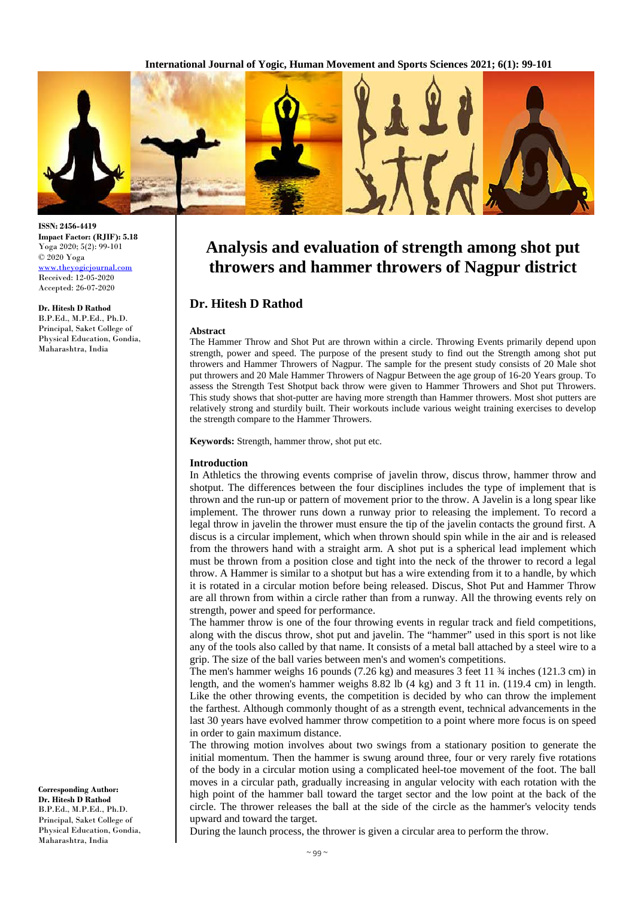**International Journal of Yogic, Human Movement and Sports Sciences 2021; 6(1): 99-101**



# **Analysis and evaluation of strength among shot put throwers and hammer throwers of Nagpur district**

## **Dr. Hitesh D Rathod**

#### **Abstract**

The Hammer Throw and Shot Put are thrown within a circle. Throwing Events primarily depend upon strength, power and speed. The purpose of the present study to find out the Strength among shot put throwers and Hammer Throwers of Nagpur. The sample for the present study consists of 20 Male shot put throwers and 20 Male Hammer Throwers of Nagpur Between the age group of 16-20 Years group. To assess the Strength Test Shotput back throw were given to Hammer Throwers and Shot put Throwers. This study shows that shot-putter are having more strength than Hammer throwers. Most shot putters are relatively strong and sturdily built. Their workouts include various weight training exercises to develop the strength compare to the Hammer Throwers.

**Keywords:** Strength, hammer throw, shot put etc.

#### **Introduction**

In Athletics the throwing events comprise of javelin throw, discus throw, hammer throw and shotput. The differences between the four disciplines includes the type of implement that is thrown and the run-up or pattern of movement prior to the throw. A Javelin is a long spear like implement. The thrower runs down a runway prior to releasing the implement. To record a legal throw in javelin the thrower must ensure the tip of the javelin contacts the ground first. A discus is a circular implement, which when thrown should spin while in the air and is released from the throwers hand with a straight arm. A shot put is a spherical lead implement which must be thrown from a position close and tight into the neck of the thrower to record a legal throw. A Hammer is similar to a shotput but has a wire extending from it to a handle, by which it is rotated in a circular motion before being released. Discus, Shot Put and Hammer Throw are all thrown from within a circle rather than from a runway. All the throwing events rely on strength, power and speed for performance.

The hammer throw is one of the four throwing events in regular track and field competitions, along with the discus throw, shot put and javelin. The "hammer" used in this sport is not like any of the tools also called by that name. It consists of a metal ball attached by a steel wire to a grip. The size of the ball varies between men's and women's competitions.

The men's hammer weighs 16 pounds  $(7.26 \text{ kg})$  and measures 3 feet 11  $\frac{3}{4}$  inches (121.3 cm) in length, and the women's hammer weighs 8.82 lb (4 kg) and 3 ft 11 in. (119.4 cm) in length. Like the other throwing events, the competition is decided by who can throw the implement the farthest. Although commonly thought of as a strength event, technical advancements in the last 30 years have evolved hammer throw competition to a point where more focus is on speed in order to gain maximum distance.

The throwing motion involves about two swings from a stationary position to generate the initial momentum. Then the hammer is swung around three, four or very rarely five rotations of the body in a circular motion using a complicated heel-toe movement of the foot. The ball moves in a circular path, gradually increasing in angular velocity with each rotation with the high point of the hammer ball toward the target sector and the low point at the back of the circle. The thrower releases the ball at the side of the circle as the hammer's velocity tends upward and toward the target.

During the launch process, the thrower is given a circular area to perform the throw.

**ISSN: 2456-4419 Impact Factor: (RJIF): 5.18** Yoga 2020; 5(2): 99-101 © 2020 Yoga www.theyogicjournal.com Received: 12-05-2020 Accepted: 26-07-2020

**Dr. Hitesh D Rathod** B.P.Ed., M.P.Ed., Ph.D. Principal, Saket College of Physical Education, Gondia, Maharashtra, India

**Corresponding Author: Dr. Hitesh D Rathod** B.P.Ed., M.P.Ed., Ph.D. Principal, Saket College of Physical Education, Gondia, Maharashtra, India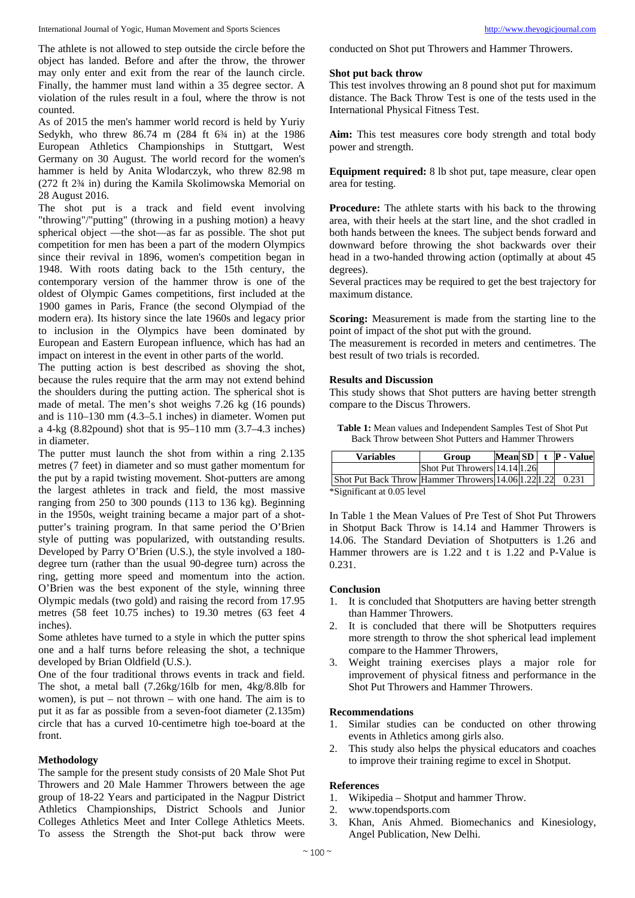The athlete is not allowed to step outside the circle before the object has landed. Before and after the throw, the thrower may only enter and exit from the rear of the launch circle. Finally, the hammer must land within a 35 degree sector. A violation of the rules result in a foul, where the throw is not counted.

As of 2015 the men's hammer world record is held by Yuriy Sedykh, who threw 86.74 m (284 ft 6<sup>3</sup>/4 in) at the 1986 European Athletics Championships in Stuttgart, West Germany on 30 August. The world record for the women's hammer is held by Anita Wlodarczyk, who threw 82.98 m (272 ft 2¾ in) during the Kamila Skolimowska Memorial on 28 August 2016.

The shot put is a track and field event involving "throwing"/"putting" (throwing in a pushing motion) a heavy spherical object —the shot—as far as possible. The shot put competition for men has been a part of the modern Olympics since their revival in 1896, women's competition began in 1948. With roots dating back to the 15th century, the contemporary version of the hammer throw is one of the oldest of Olympic Games competitions, first included at the 1900 games in Paris, France (the second Olympiad of the modern era). Its history since the late 1960s and legacy prior to inclusion in the Olympics have been dominated by European and Eastern European influence, which has had an impact on interest in the event in other parts of the world.

The putting action is best described as shoving the shot, because the rules require that the arm may not extend behind the shoulders during the putting action. The spherical shot is made of metal. The men's shot weighs 7.26 kg (16 pounds) and is 110–130 mm (4.3–5.1 inches) in diameter. Women put a 4-kg (8.82pound) shot that is 95–110 mm (3.7–4.3 inches) in diameter.

The putter must launch the shot from within a ring 2.135 metres (7 feet) in diameter and so must gather momentum for the put by a rapid twisting movement. Shot-putters are among the largest athletes in track and field, the most massive ranging from 250 to 300 pounds (113 to 136 kg). Beginning in the 1950s, weight training became a major part of a shotputter's training program. In that same period the O'Brien style of putting was popularized, with outstanding results. Developed by Parry O'Brien (U.S.), the style involved a 180 degree turn (rather than the usual 90-degree turn) across the ring, getting more speed and momentum into the action. O'Brien was the best exponent of the style, winning three Olympic medals (two gold) and raising the record from 17.95 metres (58 feet 10.75 inches) to 19.30 metres (63 feet 4 inches).

Some athletes have turned to a style in which the putter spins one and a half turns before releasing the shot, a technique developed by Brian Oldfield (U.S.).

One of the four traditional throws events in track and field. The shot, a metal ball (7.26kg/16lb for men, 4kg/8.8lb for women), is put – not thrown – with one hand. The aim is to put it as far as possible from a seven-foot diameter (2.135m) circle that has a curved 10-centimetre high toe-board at the front.

#### **Methodology**

The sample for the present study consists of 20 Male Shot Put Throwers and 20 Male Hammer Throwers between the age group of 18-22 Years and participated in the Nagpur District Athletics Championships, District Schools and Junior Colleges Athletics Meet and Inter College Athletics Meets. To assess the Strength the Shot-put back throw were

conducted on Shot put Throwers and Hammer Throwers.

#### **Shot put back throw**

This test involves throwing an 8 pound shot put for maximum distance. The Back Throw Test is one of the tests used in the International Physical Fitness Test.

**Aim:** This test measures core body strength and total body power and strength.

**Equipment required:** 8 lb shot put, tape measure, clear open area for testing.

**Procedure:** The athlete starts with his back to the throwing area, with their heels at the start line, and the shot cradled in both hands between the knees. The subject bends forward and downward before throwing the shot backwards over their head in a two-handed throwing action (optimally at about 45 degrees).

Several practices may be required to get the best trajectory for maximum distance.

**Scoring:** Measurement is made from the starting line to the point of impact of the shot put with the ground.

The measurement is recorded in meters and centimetres. The best result of two trials is recorded.

### **Results and Discussion**

This study shows that Shot putters are having better strength compare to the Discus Throwers.

| <b>Variables</b>                                    | Group                        |  | Mean $SD$ t $P$ - Value |
|-----------------------------------------------------|------------------------------|--|-------------------------|
|                                                     | Shot Put Throwers 14.14 1.26 |  |                         |
| Shot Put Back Throw Hammer Throwers 14.06 1.22 1.22 |                              |  | 0.231                   |

**Table 1:** Mean values and Independent Samples Test of Shot Put Back Throw between Shot Putters and Hammer Throwers

\*Significant at 0.05 level

In Table 1 the Mean Values of Pre Test of Shot Put Throwers in Shotput Back Throw is 14.14 and Hammer Throwers is 14.06. The Standard Deviation of Shotputters is 1.26 and Hammer throwers are is  $1.22$  and t is  $1.22$  and P-Value is 0.231.

#### **Conclusion**

- 1. It is concluded that Shotputters are having better strength than Hammer Throwers.
- 2. It is concluded that there will be Shotputters requires more strength to throw the shot spherical lead implement compare to the Hammer Throwers,
- 3. Weight training exercises plays a major role for improvement of physical fitness and performance in the Shot Put Throwers and Hammer Throwers.

#### **Recommendations**

- 1. Similar studies can be conducted on other throwing events in Athletics among girls also.
- 2. This study also helps the physical educators and coaches to improve their training regime to excel in Shotput.

#### **References**

- 1. Wikipedia Shotput and hammer Throw.
- 2. www.topendsports.com
- 3. Khan, Anis Ahmed. Biomechanics and Kinesiology, Angel Publication, New Delhi.